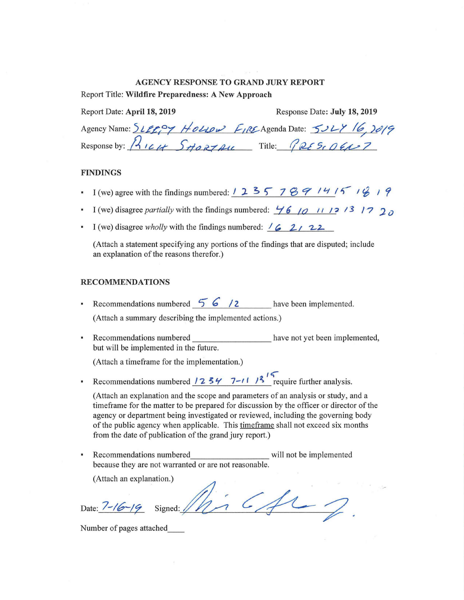#### AGENCY RESPONSE TO GRAND JURY REPORT

Report Title: Wildfire Preparedness: A New Approach

| Report Date: April 18, 2019             | Response Date: July 18, 2019                              |
|-----------------------------------------|-----------------------------------------------------------|
|                                         | Agency Name: SLEEPY House FIRE Agenda Date: 5027 16, 2019 |
| Response by: $\frac{1}{4}$ ICH SHORTALL | Title: $P_{RE}S_{CDE}C_{L}T$                              |

#### FINDINGS

- I (we) agree with the findings numbered:  $12357789141519$
- I (we) disagree *partially* with the findings numbered:  $\frac{1}{6}$  /0  $\frac{1}{12}$  /3 /7 2 0
- I (we) disagree *wholly* with the findings numbered:  $\frac{1}{6}$  2, 22

(Attach a statement specifying any portions of the findings that are disputed; include an explanation of the reasons therefor.)

#### RECOMMENDATIONS

**•** Recommendations numbered  $\overline{5}6/2$  have been implemented.

(Attach a summary describing the implemented actions.)

• Recommendations numbered \_\_\_\_\_\_\_\_\_\_\_\_\_\_\_\_\_\_\_\_\_ have not yet been implemented, but will be implemented in the future.

(Attach a timeframe for the implementation.)

**Recommendations numbered 12 34 7-11 13<sup>1</sup> require further analysis.** 

(Attach an explanation and the scope and parameters of an analysis or study, and a timeframe for the matter to be prepared for discussion by the officer or director of the agency or department being investigated or reviewed, including the governing body of the public agency when applicable. This timeframe shall not exceed six months from the date of publication of the grand jury report.)

icfus

Recommendations numbered will not be implemented because they are not warranted or are not reasonable.

(Attach an explanation.)

Date:  $7 - 16 - 19$  Signed: //

Number of pages attached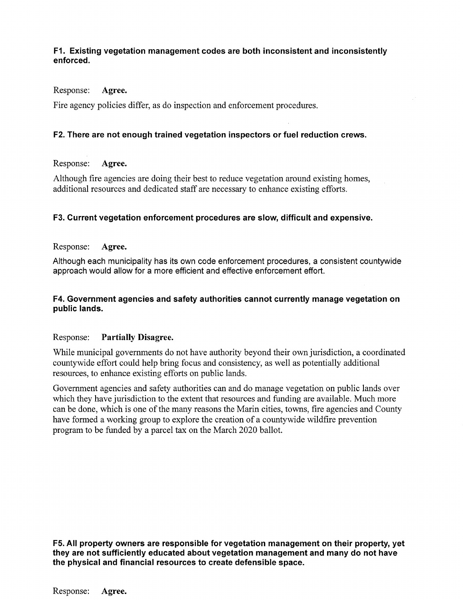# **PI. Existing vegetation management codes are both inconsistent and inconsistently enforced.**

Response: Agree.

Fire agency policies differ, as do inspection and enforcement procedures.

# **F2. There are not enough trained vegetation inspectors or fuel reduction crews.**

# Response: Agree.

Although fire agencies are doing their best to reduce vegetation around existing homes, additional resources and dedicated staff are necessary to enhance existing efforts.

# **F3. Current vegetation enforcement procedures are slow, difficult and expensive.**

# Response: Agree.

Although each municipality has its own code enforcement procedures, a consistent countywide approach would allow for a more efficient and effective enforcement effort.

# **F4. Government agencies and safety authorities cannot currently manage vegetation on public lands.**

# Response: Partially Disagree.

While municipal governments do not have authority beyond their own jurisdiction, a coordinated countywide effort could help bring focus and consistency, as well as potentially additional resources, to enhance existing efforts on public lands.

Government agencies and safety authorities can and do manage vegetation on public lands over which they have jurisdiction to the extent that resources and funding are available. Much more can be done, which is one of the many reasons the Marin cities, towns, fire agencies and County have formed a working group to explore the creation of a countywide wildfire prevention program to be funded by a parcel tax on the March 2020 ballot.

**F5. All property owners are responsible for vegetation management on their property, yet they are not sufficiently educated about vegetation management and many do not have the physical and financial resources to create defensible space.** 

Response: Agree.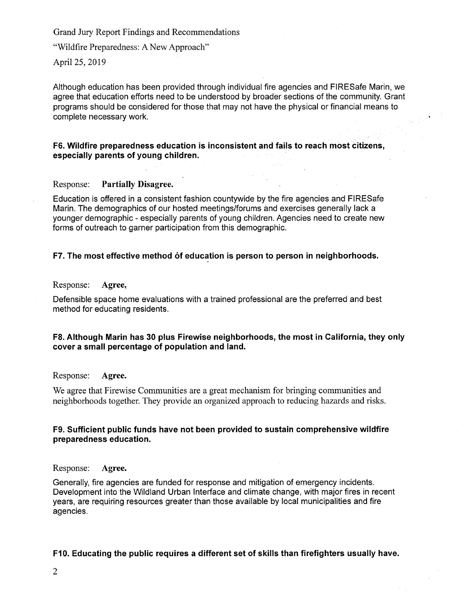"Wildfire Preparedness: A New Approach"

April 25, 2019

Although education has been provided through individual fire agencies and FIRESafe Marin, we agree that education efforts need to be understood by broader sections of the community. Grant programs should be considered for those that may not have the physical or financial means to complete necessary work.

## **F6. Wildfire preparedness education is inconsistent and fails to reach most citizens, especially parents of young children.**

# Response: Partially Disagree.

Education is offered in a consistent fashion countywide by the fire agencies and FIRESafe Marin. The demographics of our hosted meetings/forums and exercises generally lack a younger demographic - especially parents of young children. Agencies need to create new forms of outreach to garner participation from this demographic.

# **F7. The most effective method of education is person to person in neighborhoods.**

Response: Agree,

Defensible space home evaluations with a trained professional are the preferred and best method for educating residents.

### **F8. Although Marin has 30 plus Firewise neighborhoods, the most in California, they only cover a small percentage of population and land.**

### Response: Agree.

We agree that Firewise Communities are a great mechanism for bringing communities and neighborhoods together. They provide an organized approach to reducing hazards and risks.

# **F9. Sufficient public funds have not been provided to sustain comprehensive wildfire preparedness education.**

### Response: Agree.

Generally, fire agencies are funded for response and mitigation of emergency incidents. Development into the Wildland Urban Interface and climate change, with major fires in recent years, are requiring resources greater than those available by local municipalities and fire agencies.

# **F10. Educating the public requires a different set of skills than firefighters usually have.**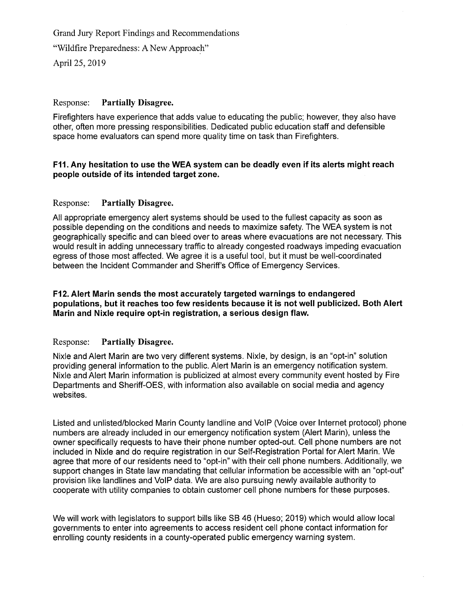"Wildfire Preparedness: A New Approach"

April 25, 2019

## Response: Partially Disagree.

Firefighters have experience that adds value to educating the public; however, they also have other, often more pressing responsibilities. Dedicated public education staff and defensible space home evaluators can spend more quality time on task than Firefighters.

# **F11. Any hesitation to use the WEA system can be deadly even if its alerts might reach people outside of its intended target zone.**

# Response: Partially Disagree.

All appropriate emergency alert systems should be used to the fullest capacity as soon as possible depending on the conditions and needs to maximize safety. The WEA system is not geographically specific and can bleed over to areas where evacuations are not necessary. This would result in adding unnecessary traffic to already congested roadways impeding evacuation egress of those most affected. We agree it is a useful tool, but it must be well-coordinated between the Incident Commander and Sheriff's Office of Emergency Services.

## F12. Alert **Mann sends the most accurately targeted warnings to endangered populations, but it reaches too few residents because it is not well publicized. Both Alert Marin and Nixle require opt-in registration, a serious design flaw.**

### Response: Partially Disagree.

Nixle and Alert Marin are two very different systems. Nixle, by design, is an "opt-in" solution providing general information to the public. Alert Marin is an emergency notification system. Nixle and Alert Marin information is publicized at almost every community event hosted by Fire Departments and Sheriff-OES, with information also available on social media and agency websites.

Listed and unlisted/blocked Marin County landline and VoIP (Voice over Internet protocol) phone numbers are already included in our emergency notification system (Alert Marin), unless the owner specifically requests to have their phone number opted-out. Cell phone numbers are not included in Nixie and do require registration in our Self-Registration Portal for Alert Mann. We agree that more of our residents need to "opt-in" with their cell phone numbers. Additionally, we support changes in State law mandating that cellular information be accessible with an "opt-out" provision like landlines and VolP data. We are also pursuing newly available authority to cooperate with utility companies to obtain customer cell phone numbers for these purposes.

We will work with legislators to support bills like SB 46 (Hueso; 2019) which would allow local governments to enter into agreements to access resident cell phone contact information for enrolling county residents in a county-operated public emergency warning system.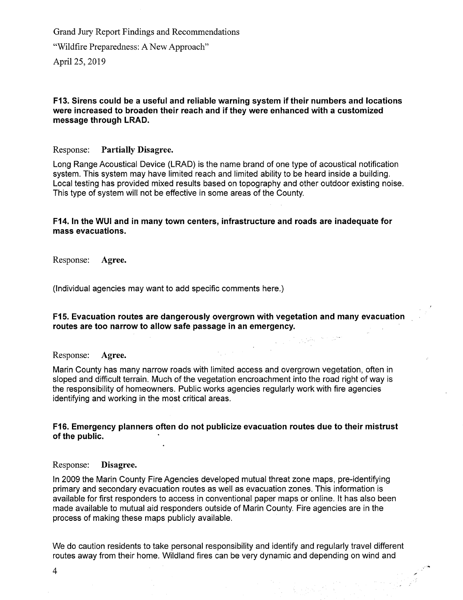Grand Jury Report Findings and Recommendations "Wildfire Preparedness: A New Approach" April 25, 2019

## **F13. Sirens could be a useful and reliable warning system if their numbers and locations were increased to broaden their reach and if they were enhanced with a customized message through LRAD.**

# Response: Partially Disagree.

Long Range Acoustical Device (LRAD) is the name brand of one type of acoustical notification system. This system may have limited reach and limited ability to be heard inside a building. Local testing has provided mixed results based on topography and other outdoor existing noise. This type of system will not be effective in some areas of the County.

## **F14. In the WUI and in many town centers, infrastructure and roads are inadequate for mass evacuations.**

Response: Agree.

(Individual agencies may want to add specific comments here.)

### **F15. Evacuation routes are dangerously overgrown with vegetation and many evacuation routes are too narrow to allow safe passage in an emergency.**

والمتقاربان

 $\sim 10^{-10}$ 

#### Response: Agree.

Marin County has many narrow roads with limited access and overgrown vegetation, often in sloped and difficult terrain. Much of the vegetation encroachment into the road right of way is the responsibility of homeowners. Public works agencies regularly work with fire agencies identifying and working in the most critical areas.

### **F16. Emergency planners often do not publicize evacuation routes due to their mistrust of the public.**

### Response: Disagree.

In 2009 the Marin County Fire Agencies developed mutual threat zone maps, pre-identifying primary and secondary evacuation routes as well as evacuation zones. This information is available for first responders to access in conventional paper maps or online. It has also been made available to mutual aid responders outside of Marin County. Fire agencies are in the process of making these maps publicly available.

We do caution residents to take personal responsibility and identify and regularly travel different routes away from their home. Wildland fires can be very dynamic and depending on wind and

4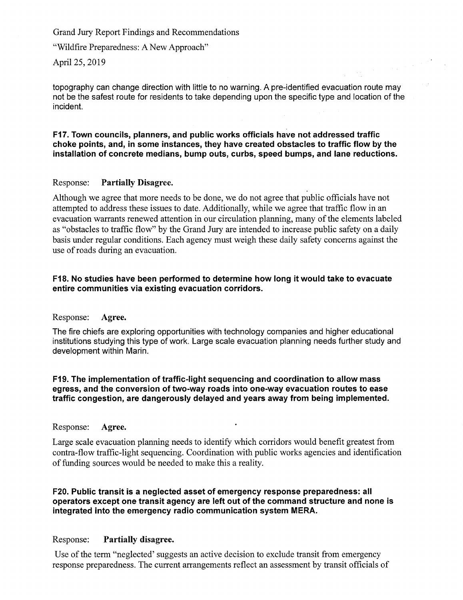## "Wildfire Preparedness: A New Approach"

April 25, 2019

topography can change direction with little to no warning. A pre-identified evacuation route may not be the safest route for residents to take depending upon the specific type and location of the incident.

### **F17. Town councils, planners, and public works officials have not addressed traffic choke points, and, in some instances, they have created obstacles to traffic flow by the installation of concrete medians, bump outs, curbs, speed bumps, and lane reductions.**

# Response: **Partially Disagree.**

Although we agree that more needs to be done, we do not agree that public officials have not attempted to address these issues to date. Additionally, while we agree that traffic flow in an evacuation warrants renewed attention in our circulation planning, many of the elements labeled as "obstacles to traffic flow" by the Grand Jury are intended to increase public safety on a daily basis under regular conditions. Each agency must weigh these daily safety concerns against the use of roads during an evacuation.

# **F18. No studies have been performed to determine how long it would take to evacuate entire communities via existing evacuation corridors.**

### Response: **Agree.**

The fire chiefs are exploring opportunities with technology companies and higher educational institutions studying this type of work. Large scale evacuation planning needs further study and development within Marin.

## **F19. The implementation of traffic-light sequencing and coordination to allow mass egress, and the conversion of two-way roads into one-way evacuation routes to ease traffic congestion, are dangerously delayed and years away from being implemented.**

## Response: **Agree.**

Large scale evacuation planning needs to identify which corridors would benefit greatest from contra-flow traffic-light sequencing. Coordination with public works agencies and identification of funding sources would be needed to make this a reality.

# **F20. Public transit is a neglected asset of emergency response preparedness: all operators except one transit agency are left out of the command structure and none is integrated into the emergency radio communication system MERA.**

# Response: **Partially disagree.**

Use of the term "neglected' suggests an active decision to exclude transit from emergency response preparedness. The current arrangements reflect an assessment by transit officials of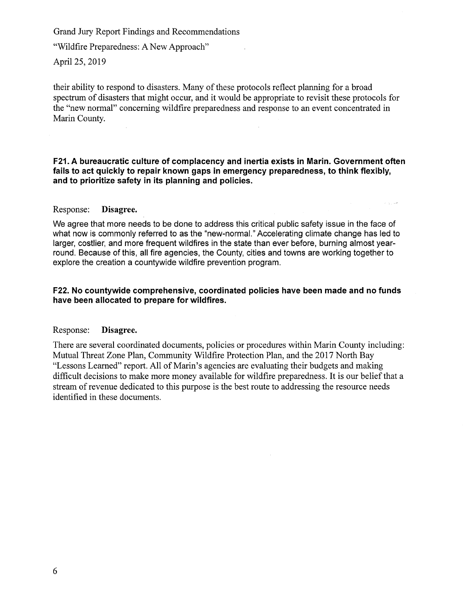"Wildfire Preparedness: A New Approach"

April 25, 2019

their ability to respond to disasters. Many of these protocols reflect planning for a broad spectrum of disasters that might occur, and it would be appropriate to revisit these protocols for the "new normal" concerning wildfire preparedness and response to an event concentrated in Marin County.

F21. A bureaucratic culture of complacency and inertia exists in Marin. Government often **fails to act quickly to repair known gaps in emergency preparedness, to think flexibly, and to prioritize safety in its planning and policies.** 

من بارد

#### Response: Disagree.

We agree that more needs to be done to address this critical public safety issue in the face of what now is commonly referred to as the "new-normal." Accelerating climate change has led to larger, costlier, and more frequent wildfires in the state than ever before, burning almost yearround. Because of this, all fire agencies, the County, cities and towns are working together to explore the creation a countywide wildfire prevention program.

### **F22. No countywide comprehensive, coordinated policies have been made and no funds have been allocated to prepare for wildfires.**

#### Response: Disagree.

There are several coordinated documents, policies or procedures within Marin County including: Mutual Threat Zone Plan, Community Wildfire Protection Plan, and the 2017 North Bay "Lessons Learned" report. All of Marin's agencies are evaluating their budgets and making difficult decisions to make more money available for wildfire preparedness. It is our belief that a stream of revenue dedicated to this purpose is the best route to addressing the resource needs identified in these documents.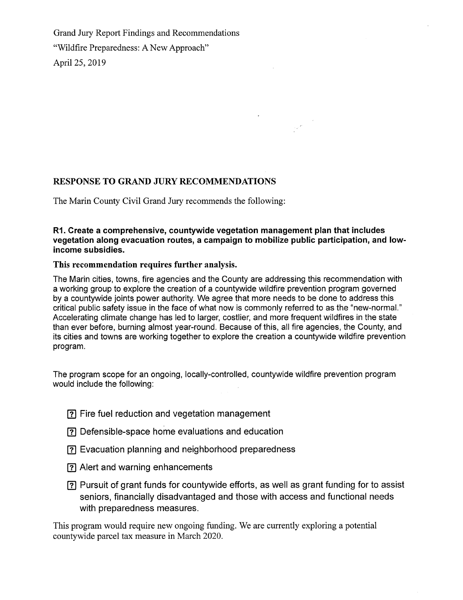Grand Jury Report Findings and Recommendations "Wildfire Preparedness: A New Approach" April 25, 2019

# **RESPONSE TO GRAND JURY RECOMMENDATIONS**

The Marin County Civil Grand Jury recommends the following:

# **R1. Create a comprehensive, countywide vegetation management plan that includes vegetation along evacuation routes, a campaign to mobilize public participation, and lowincome subsidies.**

# **This recommendation requires further** analysis.

The Marin cities, towns, fire agencies and the County are addressing this recommendation with a working group to explore the creation of a countywide wildfire prevention program governed by a countywide joints power authority. We agree that more needs to be done to address this critical public safety issue in the face of what now is commonly referred to as the "new-normal." Accelerating climate change has led to larger, costlier, and more frequent wildfires in the state than ever before, burning almost year-round. Because of this, all fire agencies, the County, and its cities and towns are working together to explore the creation a countywide wildfire prevention program.

The program scope for an ongoing, locally-controlled, countywide wildfire prevention program would include the following:

- Ej Fire fuel reduction and vegetation management
- [?] Defensible-space home evaluations and education
- E) Evacuation planning and neighborhood preparedness
- E] Alert and warning enhancements
- [3 Pursuit of grant funds for countywide efforts, as well as grant funding for to assist seniors, financially disadvantaged and those with access and functional needs with preparedness measures.

This program would require new ongoing funding. We are currently exploring a potential countywide parcel tax measure in March 2020.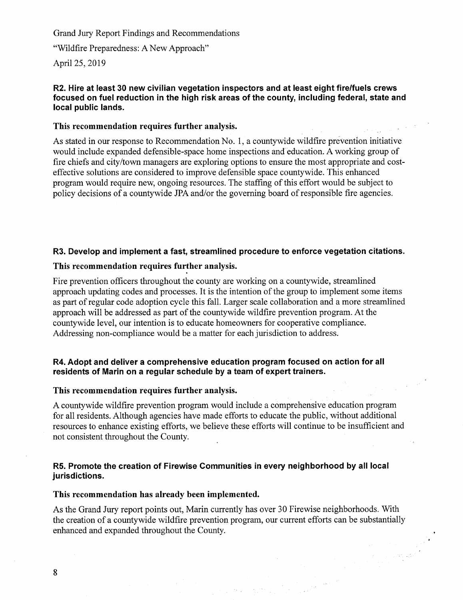"Wildfire Preparedness: A New Approach"

April 25, 2019

## **R2. Hire at least 30 new civilian vegetation inspectors and at least eight fire/fuels crews focused on fuel reduction in the high risk areas of the county, including federal, state and local public lands.**

### **This recommendation requires further analysis.**

As stated in our response to Recommendation No. 1, a countywide wildfire prevention initiative would include expanded defensible-space home inspections and education. A working group of fire chiefs and city/town managers are exploring options to ensure the most appropriate and costeffective solutions are considered to improve defensible space countywide. This enhanced program would require new, ongoing resources. The staffing of this effort would be subject to policy decisions of a countywide JPA and/or the governing board of responsible fire agencies.

# **R3. Develop and implement a fast, streamlined procedure to enforce vegetation citations.**

# **This recommendation requires further analysis.**

Fire prevention officers throughout the county are working on a countywide, streamlined approach updating codes and processes. It is the intention of the group to implement some items as part of regular code adoption cycle this fall. Larger scale collaboration and a more streamlined approach will be addressed as part of the countywide wildfire prevention program. At the countywide level, our intention is to educate homeowners for cooperative compliance. Addressing non-compliance would be a matter for each jurisdiction to address.

### **R4. Adopt and deliver a comprehensive education program focused on action for all**  residents of Marin on a regular schedule by a team of expert trainers.

## **This recommendation requires further analysis.**

A countywide wildfire prevention program would include a comprehensive education program for all residents. Although agencies have made efforts to educate the public, without additional resources to enhance existing efforts, we believe these efforts will continue to be insufficient and not consistent throughout the County.

# **R5. Promote the creation of Firewise Communities in every neighborhood by all local jurisdictions.**

#### **This recommendation has already been implemented.**

As the Grand Jury report points out, Marin currently has over 30 Firewise neighborhoods. With the creation of a countywide wildfire prevention program, our current efforts can be substantially enhanced and expanded throughout the County.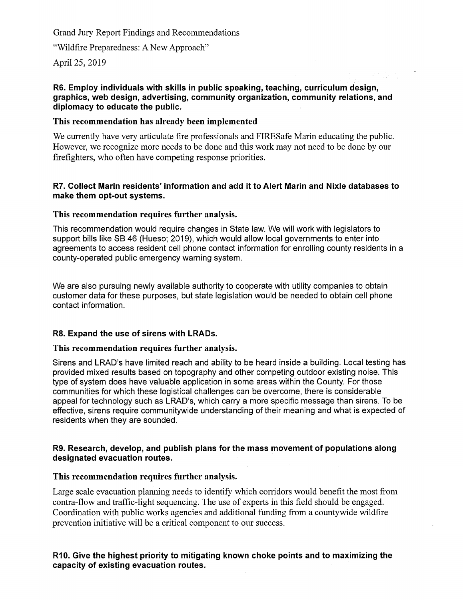"Wildfire Preparedness: A New Approach"

April 25, 2019

# **R6. Employ individuals with skills in public speaking, teaching, curriculum design, graphics, web design, advertising, community organization, community relations, and diplomacy to educate the public.**

# **This recommendation has already been implemented**

We currently have very articulate fire professionals and FIRESafe Marin educating the public. However, we recognize more needs to be done and this work may not need to be done by our firefighters, who often have competing response priorities.

# **R7. Collect Marin residents' information and add it to Alert Marin and Nixle databases to make them opt-out systems.**

# **This recommendation requires further analysis.**

This recommendation would require changes in State law. We will work with legislators to support bills like SB 46 (Hueso; 2019), which would allow local governments to enter into agreements to access resident cell phone contact information for enrolling county residents in a county-operated public emergency warning system.

We are also pursuing newly available authority to cooperate with utility companies to obtain customer data for these purposes, but state legislation would be needed to obtain cell phone contact information.

# **R8. Expand the use of sirens with LRADs.**

# **This recommendation requires further analysis.**

Sirens and LRAD's have limited reach and ability to be heard inside a building. Local testing has provided mixed results based on topography and other competing outdoor existing noise. This type of system does have valuable application in some areas within the County. For those communities for which these logistical challenges can be overcome, there is considerable appeal for technology such as LRAD's, which carry a more specific message than sirens. To be effective, sirens require communitywide understanding of their meaning and what is expected of residents when they are sounded.

# **R9. Research, develop, and publish plans for the mass movement of populations along designated evacuation routes.**

# **This recommendation requires further analysis.**

Large scale evacuation planning needs to identify which corridors would benefit the most from contra-flow and traffic-light sequencing. The use of experts in this field should be engaged. Coordination with public works agencies and additional funding from a countywide wildfire prevention initiative will be a critical component to our success.

# **R10. Give the highest priority to mitigating known choke points and to maximizing the capacity of existing evacuation routes.**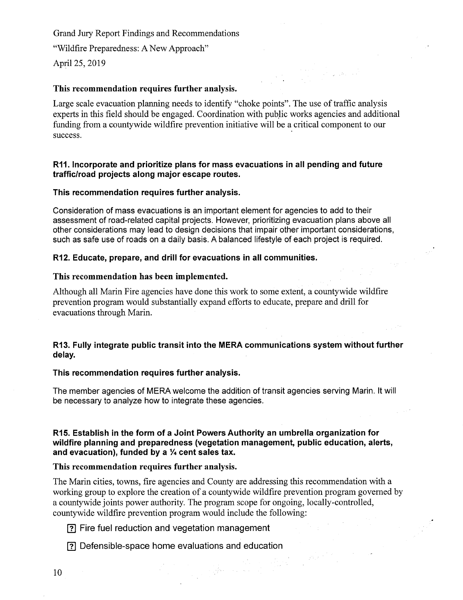"Wildfire Preparedness: A New Approach"

April 25, 2019

### **This recommendation requires further analysis.**

Large scale evacuation planning needs to identify "choke points". The use of traffic analysis experts in this field should be engaged. Coordination with public works agencies and additional funding from a countywide wildfire prevention initiative will be a critical component to our success.

### **R11. Incorporate and prioritize plans for mass evacuations in all pending and future traffic/road projects along major escape routes.**

#### **This recommendation requires further analysis.**

Consideration of mass evacuations is an important element for agencies to add to their assessment of road-related capital projects. However, prioritizing evacuation plans above all other considerations may lead to design decisions that impair other important considerations, such as safe use of roads on a daily basis. A balanced lifestyle of each project is required.

#### **R12. Educate, prepare, and drill for evacuations in all communities.**

#### **This recommendation has been implemented.**

Although all Marin Fire agencies have done this work to some extent, a countywide wildfire prevention program would substantially expand efforts to educate, prepare and drill for evacuations through Marin.

# **R13. Fully integrate public transit into the MERA communications system without further delay.**

#### **This recommendation requires further analysis.**

The member agencies of MERA welcome the addition of transit agencies serving Marin. It will be necessary to analyze how to integrate these agencies.

### **R15. Establish in the form of a Joint Powers Authority an umbrella organization for wildfire planning and preparedness (vegetation management, public education, alerts,**  and evacuation), funded by a <sup>1/4</sup> cent sales tax.

#### **This recommendation requires further** analysis.

The Marin cities, towns, fire agencies and County are addressing this recommendation with a working group to explore the creation of a countywide wildfire prevention program governed by a countywide joints power authority. The program scope for ongoing, locally-controlled, countywide wildfire prevention program would include the following:

 $\label{eq:2} \frac{1}{2}\sum_{i=1}^n\sum_{j=1}^n\sum_{j=1}^n\left(\frac{1}{2}\sum_{j=1}^n\sum_{j=1}^n\frac{1}{2}\right)^2\left(\frac{1}{2}\sum_{j=1}^n\sum_{j=1}^n\frac{1}{2}\right)^2.$ 

 $\mathcal{L}(\mathbb{R}^d)$ 

 $\gamma_{\rm{eff}}$ 

ID Fire fuel reduction and vegetation management

(3 Defensible-space home evaluations and education